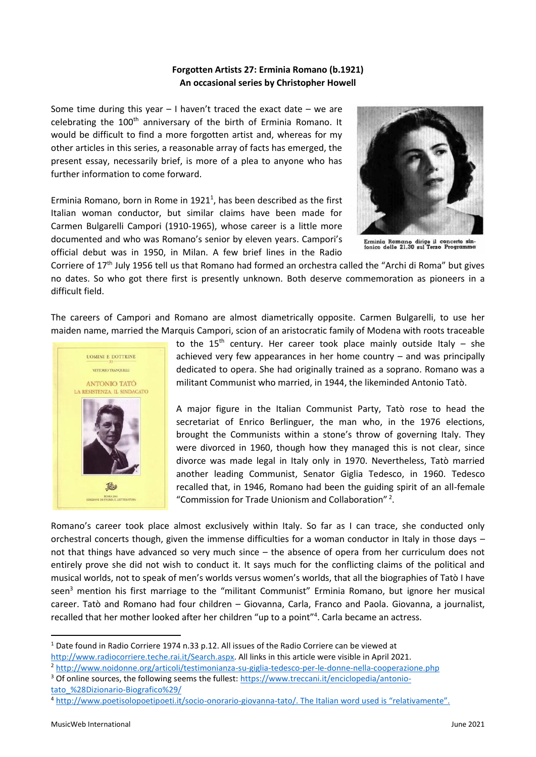## **Forgotten Artists 27: Erminia Romano (b.1921) An occasional series by Christopher Howell**

Some time during this year  $-1$  haven't traced the exact date  $-$  we are celebrating the 100<sup>th</sup> anniversary of the birth of Erminia Romano. It would be difficult to find a more forgotten artist and, whereas for my other articles in this series, a reasonable array of facts has emerged, the present essay, necessarily brief, is more of a plea to anyone who has further information to come forward.

Erminia Romano, born in Rome in  $1921<sup>1</sup>$ , has been described as the first Italian woman conductor, but similar claims have been made for Carmen Bulgarelli Campori (1910-1965), whose career is a little more documented and who was Romano's senior by eleven years. Campori's official debut was in 1950, in Milan. A few brief lines in the Radio



Erminia Romano dirige il concerto sin-<br>fonico delle 21,30 sul Terzo Programma

Corriere of 17th July 1956 tell us that Romano had formed an orchestra called the "Archi di Roma" but gives no dates. So who got there first is presently unknown. Both deserve commemoration as pioneers in a difficult field.

The careers of Campori and Romano are almost diametrically opposite. Carmen Bulgarelli, to use her maiden name, married the Marquis Campori, scion of an aristocratic family of Modena with roots traceable



to the 15<sup>th</sup> century. Her career took place mainly outside Italy – she achieved very few appearances in her home country – and was principally dedicated to opera. She had originally trained as a soprano. Romano was a militant Communist who married, in 1944, the likeminded Antonio Tatò.

A major figure in the Italian Communist Party, Tatò rose to head the secretariat of Enrico Berlinguer, the man who, in the 1976 elections, brought the Communists within a stone's throw of governing Italy. They were divorced in 1960, though how they managed this is not clear, since divorce was made legal in Italy only in 1970. Nevertheless, Tatò married another leading Communist, Senator Giglia Tedesco, in 1960. Tedesco recalled that, in 1946, Romano had been the guiding spirit of an all-female "Commission for Trade Unionism and Collaboration" <sup>2</sup> .

Romano's career took place almost exclusively within Italy. So far as I can trace, she conducted only orchestral concerts though, given the immense difficulties for a woman conductor in Italy in those days – not that things have advanced so very much since – the absence of opera from her curriculum does not entirely prove she did not wish to conduct it. It says much for the conflicting claims of the political and musical worlds, not to speak of men's worlds versus women's worlds, that all the biographies of Tatò I have seen<sup>3</sup> mention his first marriage to the "militant Communist" Erminia Romano, but ignore her musical career. Tatò and Romano had four children – Giovanna, Carla, Franco and Paola. Giovanna, a journalist, recalled that her mother looked after her children "up to a point"<sup>4</sup>. Carla became an actress.

<sup>&</sup>lt;sup>1</sup> Date found in Radio Corriere 1974 n.33 p.12. All issues of the Radio Corriere can be viewed at [http://www.radiocorriere.teche.rai.it/Search.aspx.](http://www.radiocorriere.teche.rai.it/Search.aspx) All links in this article were visible in April 2021.

<sup>2</sup> <http://www.noidonne.org/articoli/testimonianza-su-giglia-tedesco-per-le-donne-nella-cooperazione.php>

<sup>3</sup> Of online sources, the following seems the fullest: [https://www.treccani.it/enciclopedia/antonio](https://www.treccani.it/enciclopedia/antonio-tato_%28Dizionario-Biografico%29/)[tato\\_%28Dizionario-Biografico%29/](https://www.treccani.it/enciclopedia/antonio-tato_%28Dizionario-Biografico%29/)

<sup>4</sup> <http://www.poetisolopoetipoeti.it/socio-onorario-giovanna-tato/>. The Italian word used is "relativamente".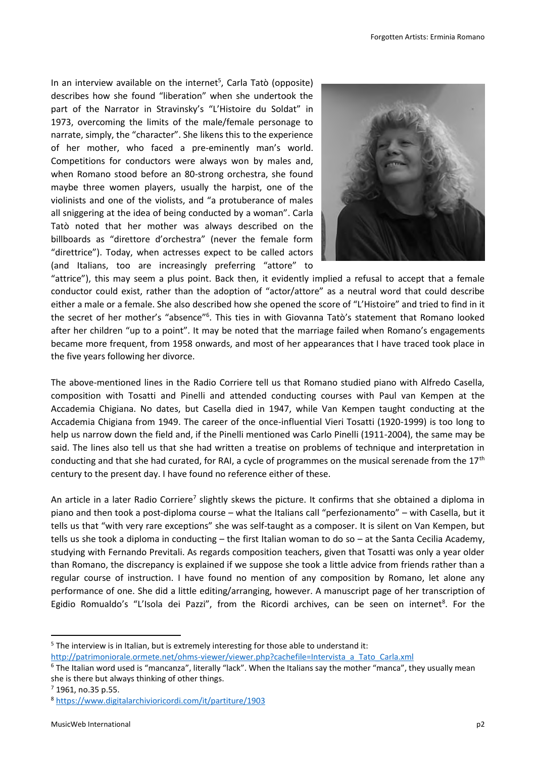In an interview available on the internet<sup>5</sup>, Carla Tatò (opposite) describes how she found "liberation" when she undertook the part of the Narrator in Stravinsky's "L'Histoire du Soldat" in 1973, overcoming the limits of the male/female personage to narrate, simply, the "character". She likens this to the experience of her mother, who faced a pre-eminently man's world. Competitions for conductors were always won by males and, when Romano stood before an 80-strong orchestra, she found maybe three women players, usually the harpist, one of the violinists and one of the violists, and "a protuberance of males all sniggering at the idea of being conducted by a woman". Carla Tatò noted that her mother was always described on the billboards as "direttore d'orchestra" (never the female form "direttrice"). Today, when actresses expect to be called actors (and Italians, too are increasingly preferring "attore" to



"attrice"), this may seem a plus point. Back then, it evidently implied a refusal to accept that a female conductor could exist, rather than the adoption of "actor/attore" as a neutral word that could describe either a male or a female. She also described how she opened the score of "L'Histoire" and tried to find in it the secret of her mother's "absence"<sup>6</sup>. This ties in with Giovanna Tatò's statement that Romano looked after her children "up to a point". It may be noted that the marriage failed when Romano's engagements became more frequent, from 1958 onwards, and most of her appearances that I have traced took place in the five years following her divorce.

The above-mentioned lines in the Radio Corriere tell us that Romano studied piano with Alfredo Casella, composition with Tosatti and Pinelli and attended conducting courses with Paul van Kempen at the Accademia Chigiana. No dates, but Casella died in 1947, while Van Kempen taught conducting at the Accademia Chigiana from 1949. The career of the once-influential Vieri Tosatti (1920-1999) is too long to help us narrow down the field and, if the Pinelli mentioned was Carlo Pinelli (1911-2004), the same may be said. The lines also tell us that she had written a treatise on problems of technique and interpretation in conducting and that she had curated, for RAI, a cycle of programmes on the musical serenade from the  $17<sup>th</sup>$ century to the present day. I have found no reference either of these.

An article in a later Radio Corriere<sup>7</sup> slightly skews the picture. It confirms that she obtained a diploma in piano and then took a post-diploma course – what the Italians call "perfezionamento" – with Casella, but it tells us that "with very rare exceptions" she was self-taught as a composer. It is silent on Van Kempen, but tells us she took a diploma in conducting – the first Italian woman to do so – at the Santa Cecilia Academy, studying with Fernando Previtali. As regards composition teachers, given that Tosatti was only a year older than Romano, the discrepancy is explained if we suppose she took a little advice from friends rather than a regular course of instruction. I have found no mention of any composition by Romano, let alone any performance of one. She did a little editing/arranging, however. A manuscript page of her transcription of Egidio Romualdo's "L'Isola dei Pazzi", from the Ricordi archives, can be seen on internet<sup>8</sup>. For the

 $5$  The interview is in Italian, but is extremely interesting for those able to understand it: [http://patrimoniorale.ormete.net/ohms-viewer/viewer.php?cachefile=Intervista\\_a\\_Tato\\_Carla.xml](http://patrimoniorale.ormete.net/ohms-viewer/viewer.php?cachefile=Intervista_a_Tato_Carla.xml) 

<sup>6</sup> The Italian word used is "mancanza", literally "lack". When the Italians say the mother "manca", they usually mean she is there but always thinking of other things.

<sup>7</sup> 1961, no.35 p.55.

<sup>8</sup> <https://www.digitalarchivioricordi.com/it/partiture/1903>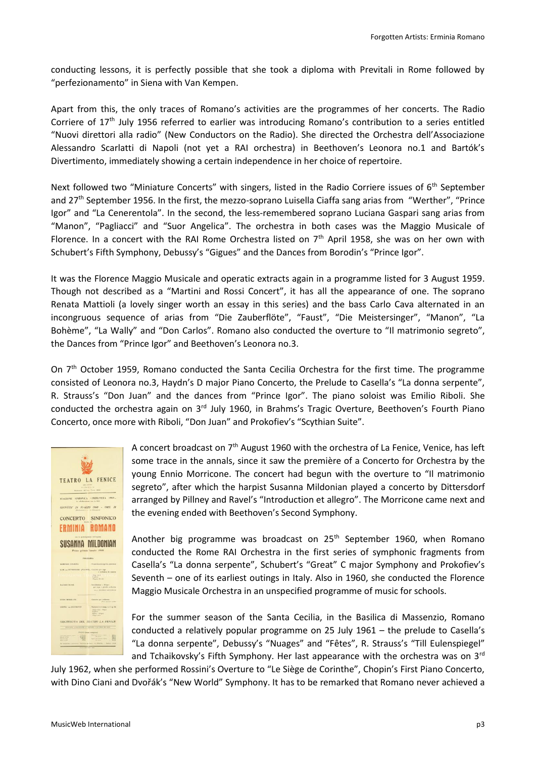conducting lessons, it is perfectly possible that she took a diploma with Previtali in Rome followed by "perfezionamento" in Siena with Van Kempen.

Apart from this, the only traces of Romano's activities are the programmes of her concerts. The Radio Corriere of  $17<sup>th</sup>$  July 1956 referred to earlier was introducing Romano's contribution to a series entitled "Nuovi direttori alla radio" (New Conductors on the Radio). She directed the Orchestra dell'Associazione Alessandro Scarlatti di Napoli (not yet a RAI orchestra) in Beethoven's Leonora no.1 and Bartók's Divertimento, immediately showing a certain independence in her choice of repertoire.

Next followed two "Miniature Concerts" with singers, listed in the Radio Corriere issues of 6<sup>th</sup> September and 27th September 1956. In the first, the mezzo-soprano Luisella Ciaffa sang arias from "Werther", "Prince Igor" and "La Cenerentola". In the second, the less-remembered soprano Luciana Gaspari sang arias from "Manon", "Pagliacci" and "Suor Angelica". The orchestra in both cases was the Maggio Musicale of Florence. In a concert with the RAI Rome Orchestra listed on 7<sup>th</sup> April 1958, she was on her own with Schubert's Fifth Symphony, Debussy's "Gigues" and the Dances from Borodin's "Prince Igor".

It was the Florence Maggio Musicale and operatic extracts again in a programme listed for 3 August 1959. Though not described as a "Martini and Rossi Concert", it has all the appearance of one. The soprano Renata Mattioli (a lovely singer worth an essay in this series) and the bass Carlo Cava alternated in an incongruous sequence of arias from "Die Zauberflöte", "Faust", "Die Meistersinger", "Manon", "La Bohème", "La Wally" and "Don Carlos". Romano also conducted the overture to "Il matrimonio segreto", the Dances from "Prince Igor" and Beethoven's Leonora no.3.

On 7<sup>th</sup> October 1959, Romano conducted the Santa Cecilia Orchestra for the first time. The programme consisted of Leonora no.3, Haydn's D major Piano Concerto, the Prelude to Casella's "La donna serpente", R. Strauss's "Don Juan" and the dances from "Prince Igor". The piano soloist was Emilio Riboli. She conducted the orchestra again on  $3<sup>rd</sup>$  July 1960, in Brahms's Tragic Overture, Beethoven's Fourth Piano Concerto, once more with Riboli, "Don Juan" and Prokofiev's "Scythian Suite".

A concert broadcast on  $7<sup>th</sup>$  August 1960 with the orchestra of La Fenice, Venice, has left some trace in the annals, since it saw the première of a Concerto for Orchestra by the young Ennio Morricone. The concert had begun with the overture to "Il matrimonio segreto", after which the harpist Susanna Mildonian played a concerto by Dittersdorf arranged by Pillney and Ravel's "Introduction et allegro". The Morricone came next and the evening ended with Beethoven's Second Symphony.

Another big programme was broadcast on  $25<sup>th</sup>$  September 1960, when Romano conducted the Rome RAI Orchestra in the first series of symphonic fragments from Casella's "La donna serpente", Schubert's "Great" C major Symphony and Prokofiev's Seventh – one of its earliest outings in Italy. Also in 1960, she conducted the Florence Maggio Musicale Orchestra in an unspecified programme of music for schools.

For the summer season of the Santa Cecilia, in the Basilica di Massenzio, Romano conducted a relatively popular programme on 25 July 1961 – the prelude to Casella's "La donna serpente", Debussy's "Nuages" and "Fêtes", R. Strauss's "Till Eulenspiegel" and Tchaikovsky's Fifth Symphony. Her last appearance with the orchestra was on  $3<sup>rd</sup>$ 

July 1962, when she performed Rossini's Overture to "Le Siège de Corinthe", Chopin's First Piano Concerto, with Dino Ciani and Dvořák's "New World" Symphony. It has to be remarked that Romano never achieved a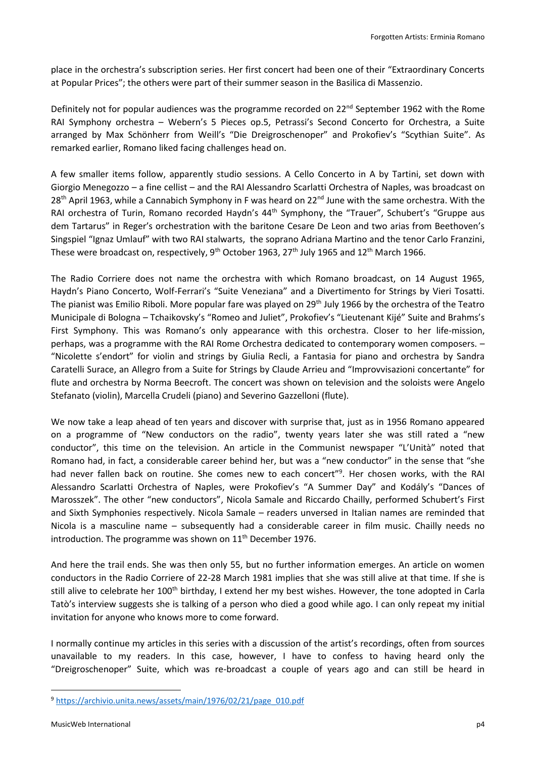place in the orchestra's subscription series. Her first concert had been one of their "Extraordinary Concerts at Popular Prices"; the others were part of their summer season in the Basilica di Massenzio.

Definitely not for popular audiences was the programme recorded on 22<sup>nd</sup> September 1962 with the Rome RAI Symphony orchestra – Webern's 5 Pieces op.5, Petrassi's Second Concerto for Orchestra, a Suite arranged by Max Schönherr from Weill's "Die Dreigroschenoper" and Prokofiev's "Scythian Suite". As remarked earlier, Romano liked facing challenges head on.

A few smaller items follow, apparently studio sessions. A Cello Concerto in A by Tartini, set down with Giorgio Menegozzo – a fine cellist – and the RAI Alessandro Scarlatti Orchestra of Naples, was broadcast on 28<sup>th</sup> April 1963, while a Cannabich Symphony in F was heard on 22<sup>nd</sup> June with the same orchestra. With the RAI orchestra of Turin, Romano recorded Haydn's 44<sup>th</sup> Symphony, the "Trauer", Schubert's "Gruppe aus dem Tartarus" in Reger's orchestration with the baritone Cesare De Leon and two arias from Beethoven's Singspiel "Ignaz Umlauf" with two RAI stalwarts, the soprano Adriana Martino and the tenor Carlo Franzini, These were broadcast on, respectively, 9<sup>th</sup> October 1963, 27<sup>th</sup> July 1965 and 12<sup>th</sup> March 1966.

The Radio Corriere does not name the orchestra with which Romano broadcast, on 14 August 1965, Haydn's Piano Concerto, Wolf-Ferrari's "Suite Veneziana" and a Divertimento for Strings by Vieri Tosatti. The pianist was Emilio Riboli. More popular fare was played on 29<sup>th</sup> July 1966 by the orchestra of the Teatro Municipale di Bologna – Tchaikovsky's "Romeo and Juliet", Prokofiev's "Lieutenant Kijé" Suite and Brahms's First Symphony. This was Romano's only appearance with this orchestra. Closer to her life-mission, perhaps, was a programme with the RAI Rome Orchestra dedicated to contemporary women composers. – "Nicolette s'endort" for violin and strings by Giulia Recli, a Fantasia for piano and orchestra by Sandra Caratelli Surace, an Allegro from a Suite for Strings by Claude Arrieu and "Improvvisazioni concertante" for flute and orchestra by Norma Beecroft. The concert was shown on television and the soloists were Angelo Stefanato (violin), Marcella Crudeli (piano) and Severino Gazzelloni (flute).

We now take a leap ahead of ten years and discover with surprise that, just as in 1956 Romano appeared on a programme of "New conductors on the radio", twenty years later she was still rated a "new conductor", this time on the television. An article in the Communist newspaper "L'Unità" noted that Romano had, in fact, a considerable career behind her, but was a "new conductor" in the sense that "she had never fallen back on routine. She comes new to each concert"<sup>9</sup>. Her chosen works, with the RAI Alessandro Scarlatti Orchestra of Naples, were Prokofiev's "A Summer Day" and Kodály's "Dances of Marosszek". The other "new conductors", Nicola Samale and Riccardo Chailly, performed Schubert's First and Sixth Symphonies respectively. Nicola Samale – readers unversed in Italian names are reminded that Nicola is a masculine name – subsequently had a considerable career in film music. Chailly needs no introduction. The programme was shown on  $11<sup>th</sup>$  December 1976.

And here the trail ends. She was then only 55, but no further information emerges. An article on women conductors in the Radio Corriere of 22-28 March 1981 implies that she was still alive at that time. If she is still alive to celebrate her 100<sup>th</sup> birthday, I extend her my best wishes. However, the tone adopted in Carla Tatò's interview suggests she is talking of a person who died a good while ago. I can only repeat my initial invitation for anyone who knows more to come forward.

I normally continue my articles in this series with a discussion of the artist's recordings, often from sources unavailable to my readers. In this case, however, I have to confess to having heard only the "Dreigroschenoper" Suite, which was re-broadcast a couple of years ago and can still be heard in

<sup>9</sup> [https://archivio.unita.news/assets/main/1976/02/21/page\\_010.pdf](https://archivio.unita.news/assets/main/1976/02/21/page_010.pdf)